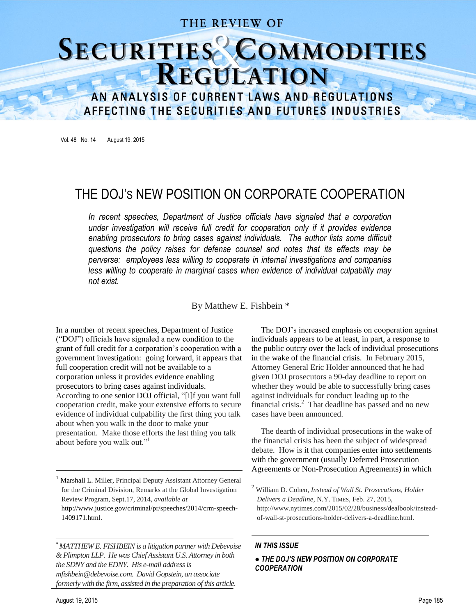### THE REVIEW OF

# SECURITIES COMMODITIES

AN ANALYSIS OF CURRENT LAWS AND REGULATIONS AFFECTING THE SECURITIES AND FUTURES INDUSTRIES

Vol. 48 No. 14 August 19, 2015

## THE DOJ'S NEW POSITION ON CORPORATE COOPERATION

In recent speeches, Department of Justice officials have signaled that a corporation *under investigation will receive full credit for cooperation only if it provides evidence enabling prosecutors to bring cases against individuals. The author lists some difficult questions the policy raises for defense counsel and notes that its effects may be perverse: employees less willing to cooperate in internal investigations and companies*  less willing to cooperate in marginal cases when evidence of individual culpability mav *not exist.*

By Matthew E. Fishbein \*

In a number of recent speeches, Department of Justice ("DOJ") officials have signaled a new condition to the grant of full credit for a corporation's cooperation with a government investigation: going forward, it appears that full cooperation credit will not be available to a corporation unless it provides evidence enabling prosecutors to bring cases against individuals. According to one senior DOJ official, "[i]f you want full cooperation credit, make your extensive efforts to secure evidence of individual culpability the first thing you talk about when you walk in the door to make your presentation. Make those efforts the last thing you talk about before you walk out."<sup>1</sup>

<sup>1</sup> Marshall L. Miller, Principal Deputy Assistant Attorney General for the Criminal Division, Remarks at the Global Investigation Review Program, Sept.17, 2014, *available at*

————————————————————

http://www.justice.gov/criminal/pr/speeches/2014/crm-speech-1409171.html.

*MATTHEW E. FISHBEIN is a litigation partner with Debevoise & Plimpton LLP. He was Chief Assistant U.S. Attorney in both the SDNY and the EDNY. His e-mail address is mfishbein@debevoise.com*. *David Gopstein, an associate formerly with the firm, assisted in the preparation of this article.*

The DOJ's increased emphasis on cooperation against individuals appears to be at least, in part, a response to the public outcry over the lack of individual prosecutions in the wake of the financial crisis. In February 2015, Attorney General Eric Holder announced that he had given DOJ prosecutors a 90-day deadline to report on whether they would be able to successfully bring cases against individuals for conduct leading up to the financial crisis.<sup>2</sup> That deadline has passed and no new cases have been announced.

The dearth of individual prosecutions in the wake of the financial crisis has been the subject of widespread debate. How is it that companies enter into settlements with the government (usually Deferred Prosecution Agreements or Non-Prosecution Agreements) in which

————————————————————

#### *IN THIS ISSUE*

#### *● THE DOJ'S NEW POSITION ON CORPORATE COOPERATION*

<sup>2</sup> William D. Cohen, *Instead of Wall St. Prosecutions, Holder Delivers a Deadline*, N.Y. TIMES, Feb. 27, 2015, http://www.nytimes.com/2015/02/28/business/dealbook/insteadof-wall-st-prosecutions-holder-delivers-a-deadline.html.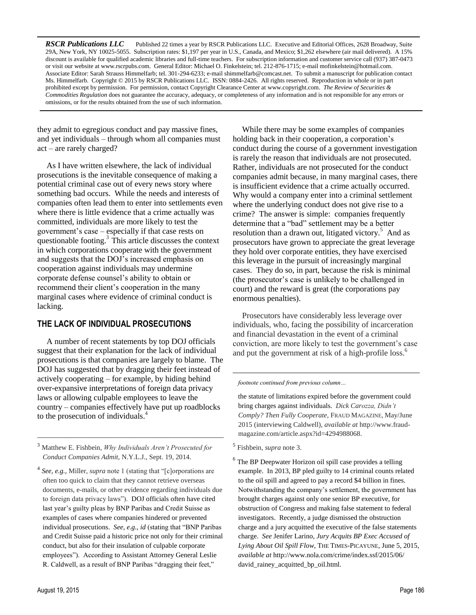*RSCR Publications LLC* Published 22 times a year by RSCR Publications LLC. Executive and Editorial Offices, 2628 Broadway, Suite 29A, New York, NY 10025-5055. Subscription rates: \$1,197 per year in U.S., Canada, and Mexico; \$1,262 elsewhere (air mail delivered). A 15% discount is available for qualified academic libraries and full-time teachers. For subscription information and customer service call (937) 387-0473 or visit our website at www.rscrpubs.com. General Editor: Michael O. Finkelstein; tel. 212-876-1715; e-mail mofinkelstein@hotmail.com. Associate Editor: Sarah Strauss Himmelfarb; tel. 301-294-6233; e-mail shimmelfarb@comcast.net. To submit a manuscript for publication contact Ms. Himmelfarb. Copyright © 2015 by RSCR Publications LLC. ISSN: 0884-2426. All rights reserved. Reproduction in whole or in part prohibited except by permission. For permission, contact Copyright Clearance Center at www.copyright.com. *The Review of Securities & Commodities Regulation* does not guarantee the accuracy, adequacy, or completeness of any information and is not responsible for any errors or omissions, or for the results obtained from the use of such information.

they admit to egregious conduct and pay massive fines, and yet individuals – through whom all companies must act – are rarely charged?

As I have written elsewhere, the lack of individual prosecutions is the inevitable consequence of making a potential criminal case out of every news story where something bad occurs. While the needs and interests of companies often lead them to enter into settlements even where there is little evidence that a crime actually was committed, individuals are more likely to test the government's case – especially if that case rests on questionable footing. $3$  This article discusses the context in which corporations cooperate with the government and suggests that the DOJ's increased emphasis on cooperation against individuals may undermine corporate defense counsel's ability to obtain or recommend their client's cooperation in the many marginal cases where evidence of criminal conduct is lacking.

#### **THE LACK OF INDIVIDUAL PROSECUTIONS**

A number of recent statements by top DOJ officials suggest that their explanation for the lack of individual prosecutions is that companies are largely to blame. The DOJ has suggested that by dragging their feet instead of actively cooperating – for example, by hiding behind over-expansive interpretations of foreign data privacy laws or allowing culpable employees to leave the country – companies effectively have put up roadblocks to the prosecution of individuals.<sup>4</sup>

<sup>3</sup> Matthew E. Fishbein, *Why Individuals Aren't Prosecuted for Conduct Companies Admit*, N.Y.L.J., Sept. 19, 2014.

————————————————————

4 *See, e.g.,* Miller, *supra* note 1 (stating that "[c]orporations are often too quick to claim that they cannot retrieve overseas documents, e-mails, or other evidence regarding individuals due to foreign data privacy laws"). DOJ officials often have cited last year's guilty pleas by BNP Paribas and Credit Suisse as examples of cases where companies hindered or prevented individual prosecutions. *See, e.g.*, *id* (stating that "BNP Paribas and Credit Suisse paid a historic price not only for their criminal conduct, but also for their insulation of culpable corporate employees"). According to Assistant Attorney General Leslie R. Caldwell, as a result of BNP Paribas "dragging their feet,"

While there may be some examples of companies holding back in their cooperation, a corporation's conduct during the course of a government investigation is rarely the reason that individuals are not prosecuted. Rather, individuals are not prosecuted for the conduct companies admit because, in many marginal cases, there is insufficient evidence that a crime actually occurred. Why would a company enter into a criminal settlement where the underlying conduct does not give rise to a crime? The answer is simple: companies frequently determine that a "bad" settlement may be a better resolution than a drawn out, litigated victory.<sup>5</sup> And as prosecutors have grown to appreciate the great leverage they hold over corporate entities, they have exercised this leverage in the pursuit of increasingly marginal cases. They do so, in part, because the risk is minimal (the prosecutor's case is unlikely to be challenged in court) and the reward is great (the corporations pay enormous penalties).

Prosecutors have considerably less leverage over individuals, who, facing the possibility of incarceration and financial devastation in the event of a criminal conviction, are more likely to test the government's case and put the government at risk of a high-profile loss.<sup>6</sup>

*footnote continued from previous column…*

 the statute of limitations expired before the government could bring charges against individuals. *Dick Carozza, Didn't Comply? Then Fully Cooperate*, FRAUD MAGAZINE, May/June 2015 (interviewing Caldwell), *available at* http://www.fraudmagazine.com/article.aspx?id=4294988068.

5 Fishbein, *supra* note 3.

1

<sup>6</sup> The BP Deepwater Horizon oil spill case provides a telling example. In 2013, BP pled guilty to 14 criminal counts related to the oil spill and agreed to pay a record \$4 billion in fines. Notwithstanding the company's settlement, the government has brought charges against only one senior BP executive, for obstruction of Congress and making false statement to federal investigators. Recently, a judge dismissed the obstruction charge and a jury acquitted the executive of the false statements charge. *See* Jenifer Larino, *Jury Acquits BP Exec Accused of Lying About Oil Spill Flow*, THE TIMES-PICAYUNE, June 5, 2015, *available at* http://www.nola.com/crime/index.ssf/2015/06/ david\_rainey\_acquitted\_bp\_oil.html.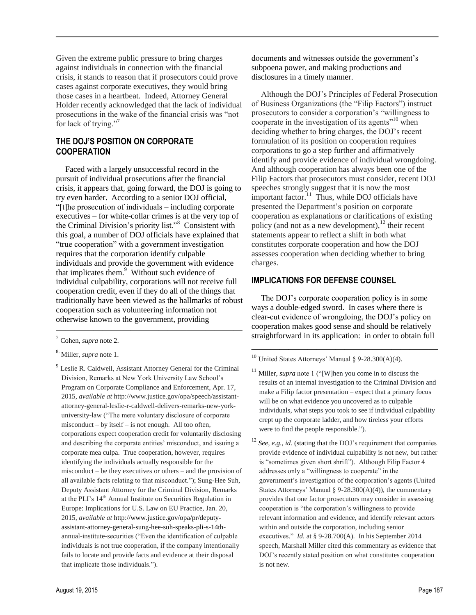Given the extreme public pressure to bring charges against individuals in connection with the financial crisis, it stands to reason that if prosecutors could prove cases against corporate executives, they would bring those cases in a heartbeat. Indeed, Attorney General Holder recently acknowledged that the lack of individual prosecutions in the wake of the financial crisis was "not for lack of trying."<sup>7</sup>

#### **THE DOJ'S POSITION ON CORPORATE COOPERATION**

Faced with a largely unsuccessful record in the pursuit of individual prosecutions after the financial crisis, it appears that, going forward, the DOJ is going to try even harder. According to a senior DOJ official, "[t]he prosecution of individuals – including corporate executives – for white-collar crimes is at the very top of the Criminal Division's priority list."<sup>8</sup> Consistent with this goal, a number of DOJ officials have explained that "true cooperation" with a government investigation requires that the corporation identify culpable individuals and provide the government with evidence that implicates them.<sup>9</sup> Without such evidence of individual culpability, corporations will not receive full cooperation credit, even if they do all of the things that traditionally have been viewed as the hallmarks of robust cooperation such as volunteering information not otherwise known to the government, providing

————————————————————

documents and witnesses outside the government's subpoena power, and making productions and disclosures in a timely manner.

Although the DOJ's Principles of Federal Prosecution of Business Organizations (the "Filip Factors") instruct prosecutors to consider a corporation's "willingness to cooperate in the investigation of its agents<sup>"10</sup> when deciding whether to bring charges, the DOJ's recent formulation of its position on cooperation requires corporations to go a step further and affirmatively identify and provide evidence of individual wrongdoing. And although cooperation has always been one of the Filip Factors that prosecutors must consider, recent DOJ speeches strongly suggest that it is now the most important factor.<sup>11</sup> Thus, while DOJ officials have presented the Department's position on corporate cooperation as explanations or clarifications of existing policy (and not as a new development), $^{12}$  their recent statements appear to reflect a shift in both what constitutes corporate cooperation and how the DOJ assesses cooperation when deciding whether to bring charges.

#### **IMPLICATIONS FOR DEFENSE COUNSEL**

The DOJ's corporate cooperation policy is in some ways a double-edged sword. In cases where there is clear-cut evidence of wrongdoing, the DOJ's policy on cooperation makes good sense and should be relatively straightforward in its application: in order to obtain full

————————————————————

- Miller, *supra* note 1 ("[W]hen you come in to discuss the results of an internal investigation to the Criminal Division and make a Filip factor presentation – expect that a primary focus will be on what evidence you uncovered as to culpable individuals, what steps you took to see if individual culpability crept up the corporate ladder, and how tireless your efforts were to find the people responsible.").
- <sup>12</sup> *See, e.g., id.* (stating that the DOJ's requirement that companies provide evidence of individual culpability is not new, but rather is "sometimes given short shrift"). Although Filip Factor 4 addresses only a "willingness to cooperate" in the government's investigation of the corporation's agents (United States Attorneys' Manual  $\S 9-28.300(A)(4)$ , the commentary provides that one factor prosecutors may consider in assessing cooperation is "the corporation's willingness to provide relevant information and evidence, and identify relevant actors within and outside the corporation, including senior executives." *Id.* at § 9-28.700(A). In his September 2014 speech, Marshall Miller cited this commentary as evidence that DOJ's recently stated position on what constitutes cooperation is not new.

<sup>7</sup> Cohen, *supra* note 2.

<sup>8.</sup> Miller, *supra* note 1.

<sup>&</sup>lt;sup>9</sup> Leslie R. Caldwell, Assistant Attorney General for the Criminal Division, Remarks at New York University Law School's Program on Corporate Compliance and Enforcement, Apr. 17, 2015, *available at* http://www.justice.gov/opa/speech/assistantattorney-general-leslie-r-caldwell-delivers-remarks-new-yorkuniversity-law ("The mere voluntary disclosure of corporate misconduct – by itself – is not enough. All too often, corporations expect cooperation credit for voluntarily disclosing and describing the corporate entities' misconduct, and issuing a corporate mea culpa. True cooperation, however, requires identifying the individuals actually responsible for the misconduct – be they executives or others – and the provision of all available facts relating to that misconduct."); Sung-Hee Suh, Deputy Assistant Attorney for the Criminal Division, Remarks at the PLI's 14<sup>th</sup> Annual Institute on Securities Regulation in Europe: Implications for U.S. Law on EU Practice, Jan. 20, 2015, *available at* http://www.justice.gov/opa/pr/deputyassistant-attorney-general-sung-hee-suh-speaks-pli-s-14thannual-institute-securities ("Even the identification of culpable individuals is not true cooperation, if the company intentionally fails to locate and provide facts and evidence at their disposal that implicate those individuals.").

 $10$  United States Attorneys' Manual § 9-28.300(A)(4).